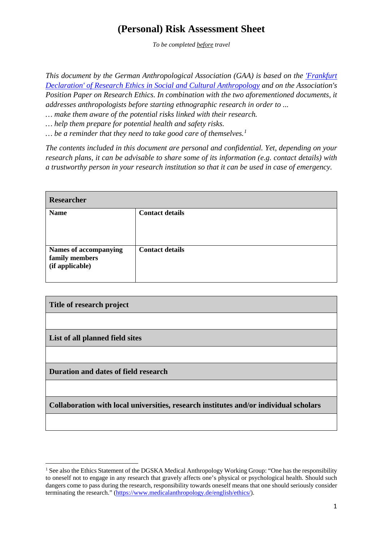## **(Personal) Risk Assessment Sheet**

*To be completed before travel*

*This document by the German Anthropological Association (GAA) is based on the ['Frankfurt](https://en.dgska.de/ethics/)  [Declaration' of Research Ethics in Social and Cultural Anthropology](https://en.dgska.de/ethics/) and on the Association's Position Paper on Research Ethics. In combination with the two aforementioned documents, it addresses anthropologists before starting ethnographic research in order to ...*

*… make them aware of the potential risks linked with their research.*

*… help them prepare for potential health and safety risks.*

*… be a reminder that they need to take good care of themselves. [1](#page-0-0)*

*The contents included in this document are personal and confidential. Yet, depending on your research plans, it can be advisable to share some of its information (e.g. contact details) with a trustworthy person in your research institution so that it can be used in case of emergency.*

| Researcher                                                 |                        |  |
|------------------------------------------------------------|------------------------|--|
| <b>Name</b>                                                | <b>Contact details</b> |  |
| Names of accompanying<br>family members<br>(if applicable) | <b>Contact details</b> |  |

| Title of research project                                                             |  |
|---------------------------------------------------------------------------------------|--|
|                                                                                       |  |
| List of all planned field sites                                                       |  |
|                                                                                       |  |
| Duration and dates of field research                                                  |  |
|                                                                                       |  |
| Collaboration with local universities, research institutes and/or individual scholars |  |

 $\overline{a}$ 

<span id="page-0-0"></span><sup>&</sup>lt;sup>1</sup> See also the Ethics Statement of the DGSKA Medical Anthropology Working Group: "One has the responsibility to oneself not to engage in any research that gravely affects one's physical or psychological health. Should such dangers come to pass during the research, responsibility towards oneself means that one should seriously consider terminating the research." [\(https://www.medicalanthropology.de/english/ethics/\)](https://www.medicalanthropology.de/english/ethics/).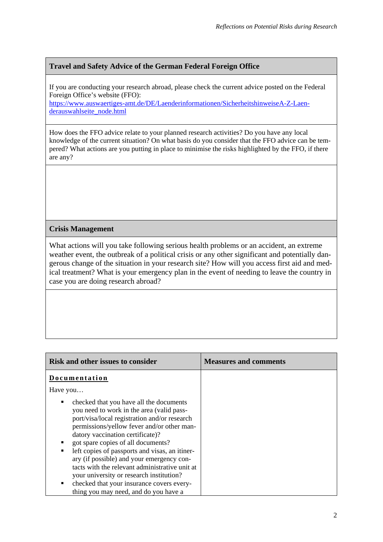## **Travel and Safety Advice of the German Federal Foreign Office**

If you are conducting your research abroad, please check the current advice posted on the Federal Foreign Office's website (FFO):

[https://www.auswaertiges-amt.de/DE/Laenderinformationen/SicherheitshinweiseA-Z-Laen](https://www.auswaertiges-amt.de/DE/Laenderinformationen/SicherheitshinweiseA-Z-Laenderauswahlseite_node.html)[derauswahlseite\\_node.html](https://www.auswaertiges-amt.de/DE/Laenderinformationen/SicherheitshinweiseA-Z-Laenderauswahlseite_node.html)

How does the FFO advice relate to your planned research activities? Do you have any local knowledge of the current situation? On what basis do you consider that the FFO advice can be tempered? What actions are you putting in place to minimise the risks highlighted by the FFO, if there are any?

## **Crisis Management**

What actions will you take following serious health problems or an accident, an extreme weather event, the outbreak of a political crisis or any other significant and potentially dangerous change of the situation in your research site? How will you access first aid and medical treatment? What is your emergency plan in the event of needing to leave the country in case you are doing research abroad?

| <b>Risk and other issues to consider</b>                                                                                                                                                                                                                                                                                                                                                                                                                                                                                                             | <b>Measures and comments</b> |
|------------------------------------------------------------------------------------------------------------------------------------------------------------------------------------------------------------------------------------------------------------------------------------------------------------------------------------------------------------------------------------------------------------------------------------------------------------------------------------------------------------------------------------------------------|------------------------------|
| Documentation                                                                                                                                                                                                                                                                                                                                                                                                                                                                                                                                        |                              |
| Have you                                                                                                                                                                                                                                                                                                                                                                                                                                                                                                                                             |                              |
| checked that you have all the documents<br>you need to work in the area (valid pass-<br>port/visa/local registration and/or research<br>permissions/yellow fever and/or other man-<br>datory vaccination certificate)?<br>got spare copies of all documents?<br>left copies of passports and visas, an itiner-<br>ary (if possible) and your emergency con-<br>tacts with the relevant administrative unit at<br>your university or research institution?<br>checked that your insurance covers every-<br>٠<br>thing you may need, and do you have a |                              |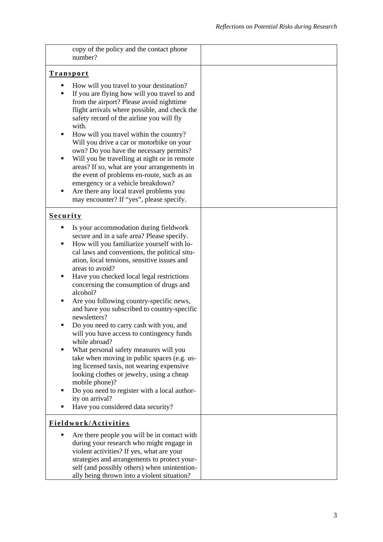|                                 | copy of the policy and the contact phone<br>number?                                                                                                                                                                                                                                                                                                                                                                                                                                                                                                                                                                                                                                                                                                                                                                                                   |  |
|---------------------------------|-------------------------------------------------------------------------------------------------------------------------------------------------------------------------------------------------------------------------------------------------------------------------------------------------------------------------------------------------------------------------------------------------------------------------------------------------------------------------------------------------------------------------------------------------------------------------------------------------------------------------------------------------------------------------------------------------------------------------------------------------------------------------------------------------------------------------------------------------------|--|
| <b>Transport</b>                |                                                                                                                                                                                                                                                                                                                                                                                                                                                                                                                                                                                                                                                                                                                                                                                                                                                       |  |
| п<br>٠<br>٠<br>٠<br>п           | How will you travel to your destination?<br>If you are flying how will you travel to and<br>from the airport? Please avoid nighttime<br>flight arrivals where possible, and check the<br>safety record of the airline you will fly<br>with.<br>How will you travel within the country?<br>Will you drive a car or motorbike on your<br>own? Do you have the necessary permits?<br>Will you be travelling at night or in remote<br>areas? If so, what are your arrangements in<br>the event of problems en-route, such as an<br>emergency or a vehicle breakdown?<br>Are there any local travel problems you<br>may encounter? If "yes", please specify.                                                                                                                                                                                               |  |
| <b>Security</b>                 |                                                                                                                                                                                                                                                                                                                                                                                                                                                                                                                                                                                                                                                                                                                                                                                                                                                       |  |
| ٠<br>٠<br>п<br>п<br>п<br>٠<br>п | Is your accommodation during fieldwork<br>secure and in a safe area? Please specify.<br>How will you familiarize yourself with lo-<br>cal laws and conventions, the political situ-<br>ation, local tensions, sensitive issues and<br>areas to avoid?<br>Have you checked local legal restrictions<br>concerning the consumption of drugs and<br>alcohol?<br>Are you following country-specific news,<br>and have you subscribed to country-specific<br>newsletters?<br>Do you need to carry cash with you, and<br>will you have access to contingency funds<br>while abroad?<br>What personal safety measures will you<br>take when moving in public spaces (e.g. us-<br>ing licensed taxis, not wearing expensive<br>looking clothes or jewelry, using a cheap<br>mobile phone)?<br>Do you need to register with a local author-<br>ity on arrival? |  |
| п                               | Have you considered data security?                                                                                                                                                                                                                                                                                                                                                                                                                                                                                                                                                                                                                                                                                                                                                                                                                    |  |
|                                 | Fieldwork/Activities                                                                                                                                                                                                                                                                                                                                                                                                                                                                                                                                                                                                                                                                                                                                                                                                                                  |  |
| ٠                               | Are there people you will be in contact with<br>during your research who might engage in<br>violent activities? If yes, what are your<br>strategies and arrangements to protect your-<br>self (and possibly others) when unintention-<br>ally being thrown into a violent situation?                                                                                                                                                                                                                                                                                                                                                                                                                                                                                                                                                                  |  |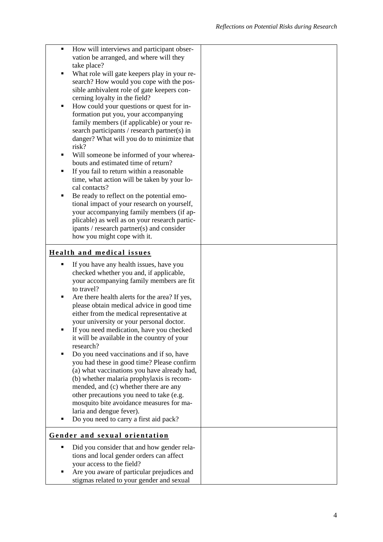| ٠ | How will interviews and participant obser-                                             |  |
|---|----------------------------------------------------------------------------------------|--|
|   | vation be arranged, and where will they                                                |  |
|   | take place?                                                                            |  |
| ٠ | What role will gate keepers play in your re-                                           |  |
|   | search? How would you cope with the pos-<br>sible ambivalent role of gate keepers con- |  |
|   | cerning loyalty in the field?                                                          |  |
| ٠ | How could your questions or quest for in-                                              |  |
|   | formation put you, your accompanying                                                   |  |
|   | family members (if applicable) or your re-                                             |  |
|   | search participants / research partner(s) in                                           |  |
|   | danger? What will you do to minimize that                                              |  |
|   | risk?                                                                                  |  |
| п | Will someone be informed of your wherea-                                               |  |
|   | bouts and estimated time of return?                                                    |  |
| ٠ | If you fail to return within a reasonable                                              |  |
|   | time, what action will be taken by your lo-                                            |  |
| ٠ | cal contacts?<br>Be ready to reflect on the potential emo-                             |  |
|   | tional impact of your research on yourself,                                            |  |
|   | your accompanying family members (if ap-                                               |  |
|   | plicable) as well as on your research partic-                                          |  |
|   | ipants / research partner(s) and consider                                              |  |
|   | how you might cope with it.                                                            |  |
|   |                                                                                        |  |
|   | <b>Health and medical issues</b>                                                       |  |
| п | If you have any health issues, have you                                                |  |
|   | checked whether you and, if applicable,                                                |  |
|   | your accompanying family members are fit                                               |  |
|   | to travel?                                                                             |  |
| ٠ | Are there health alerts for the area? If yes,                                          |  |
|   | please obtain medical advice in good time<br>either from the medical representative at |  |
|   | your university or your personal doctor.                                               |  |
|   | If you need medication, have you checked                                               |  |
|   | it will be available in the country of your                                            |  |
|   |                                                                                        |  |
|   | research?                                                                              |  |
| ٠ | Do you need vaccinations and if so, have                                               |  |
|   | you had these in good time? Please confirm                                             |  |
|   | (a) what vaccinations you have already had,                                            |  |
|   | (b) whether malaria prophylaxis is recom-                                              |  |
|   | mended, and (c) whether there are any                                                  |  |
|   | other precautions you need to take (e.g.                                               |  |
|   | mosquito bite avoidance measures for ma-                                               |  |
| ٠ | laria and dengue fever).                                                               |  |
|   | Do you need to carry a first aid pack?                                                 |  |
|   | Gender and sexual orientation                                                          |  |
|   |                                                                                        |  |
|   | Did you consider that and how gender rela-                                             |  |
|   | tions and local gender orders can affect<br>your access to the field?                  |  |
|   | Are you aware of particular prejudices and                                             |  |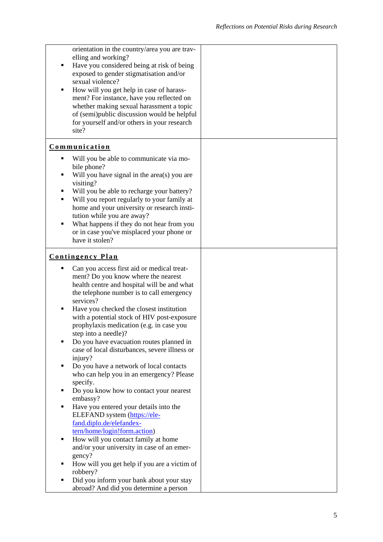| ٠<br>٠                | orientation in the country/area you are trav-<br>elling and working?<br>Have you considered being at risk of being<br>exposed to gender stigmatisation and/or<br>sexual violence?<br>How will you get help in case of harass-<br>ment? For instance, have you reflected on<br>whether making sexual harassment a topic<br>of (semi)public discussion would be helpful<br>for yourself and/or others in your research<br>site? |  |
|-----------------------|-------------------------------------------------------------------------------------------------------------------------------------------------------------------------------------------------------------------------------------------------------------------------------------------------------------------------------------------------------------------------------------------------------------------------------|--|
|                       | <b>Communication</b>                                                                                                                                                                                                                                                                                                                                                                                                          |  |
| ٠<br>٠<br>٠<br>٠<br>٠ | Will you be able to communicate via mo-<br>bile phone?<br>Will you have signal in the area(s) you are<br>visiting?<br>Will you be able to recharge your battery?<br>Will you report regularly to your family at<br>home and your university or research insti-<br>tution while you are away?<br>What happens if they do not hear from you<br>or in case you've misplaced your phone or<br>have it stolen?                     |  |
|                       | <b>Contingency Plan</b>                                                                                                                                                                                                                                                                                                                                                                                                       |  |
| ٠                     | Can you access first aid or medical treat-                                                                                                                                                                                                                                                                                                                                                                                    |  |
| п                     | ment? Do you know where the nearest<br>health centre and hospital will be and what<br>the telephone number is to call emergency<br>services?<br>Have you checked the closest institution<br>with a potential stock of HIV post-exposure<br>prophylaxis medication (e.g. in case you                                                                                                                                           |  |
|                       | step into a needle)?                                                                                                                                                                                                                                                                                                                                                                                                          |  |
|                       | Do you have evacuation routes planned in                                                                                                                                                                                                                                                                                                                                                                                      |  |
|                       | case of local disturbances, severe illness or<br>injury?                                                                                                                                                                                                                                                                                                                                                                      |  |
| ٠                     | Do you have a network of local contacts                                                                                                                                                                                                                                                                                                                                                                                       |  |
|                       | who can help you in an emergency? Please<br>specify.                                                                                                                                                                                                                                                                                                                                                                          |  |
| ٠                     | Do you know how to contact your nearest                                                                                                                                                                                                                                                                                                                                                                                       |  |
| ٠                     | embassy?                                                                                                                                                                                                                                                                                                                                                                                                                      |  |
|                       | Have you entered your details into the<br>ELEFAND system (https://ele-                                                                                                                                                                                                                                                                                                                                                        |  |
|                       | fand.diplo.de/elefandex-                                                                                                                                                                                                                                                                                                                                                                                                      |  |
|                       | tern/home/login!form.action)                                                                                                                                                                                                                                                                                                                                                                                                  |  |
| п                     | How will you contact family at home                                                                                                                                                                                                                                                                                                                                                                                           |  |
|                       | and/or your university in case of an emer-                                                                                                                                                                                                                                                                                                                                                                                    |  |
|                       | gency?                                                                                                                                                                                                                                                                                                                                                                                                                        |  |
| ٠                     | How will you get help if you are a victim of<br>robbery?                                                                                                                                                                                                                                                                                                                                                                      |  |
| ٠                     | Did you inform your bank about your stay                                                                                                                                                                                                                                                                                                                                                                                      |  |
|                       | abroad? And did you determine a person                                                                                                                                                                                                                                                                                                                                                                                        |  |